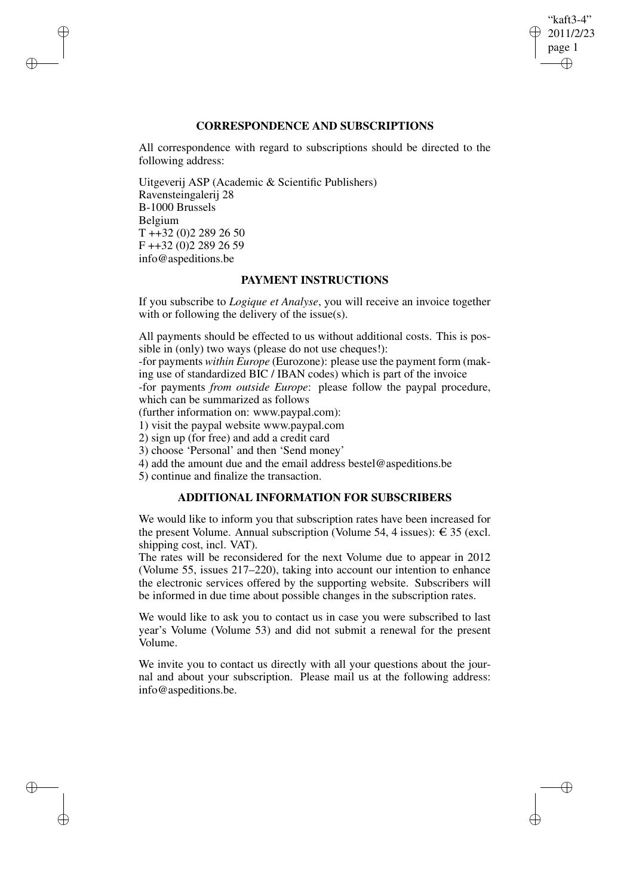## "kaft3-4" 2011/2/23 page 1 ✐ ✐

✐

✐

## **CORRESPONDENCE AND SUBSCRIPTIONS**

All correspondence with regard to subscriptions should be directed to the following address:

Uitgeverij ASP (Academic & Scientific Publishers) Ravensteingalerij 28 B-1000 Brussels Belgium T ++32 (0)2 289 26 50 F ++32 (0)2 289 26 59 info@aspeditions.be

✐

✐

✐

✐

## **PAYMENT INSTRUCTIONS**

If you subscribe to *Logique et Analyse*, you will receive an invoice together with or following the delivery of the issue(s).

All payments should be effected to us without additional costs. This is possible in (only) two ways (please do not use cheques!):

-for payments *within Europe* (Eurozone): please use the payment form (making use of standardized BIC / IBAN codes) which is part of the invoice

-for payments *from outside Europe*: please follow the paypal procedure, which can be summarized as follows

(further information on: www.paypal.com):

1) visit the paypal website www.paypal.com

2) sign up (for free) and add a credit card

3) choose 'Personal' and then 'Send money'

4) add the amount due and the email address bestel@aspeditions.be

5) continue and finalize the transaction.

# **ADDITIONAL INFORMATION FOR SUBSCRIBERS**

We would like to inform you that subscription rates have been increased for the present Volume. Annual subscription (Volume 54, 4 issues):  $\epsilon$  35 (excl. shipping cost, incl. VAT).

The rates will be reconsidered for the next Volume due to appear in 2012 (Volume 55, issues 217–220), taking into account our intention to enhance the electronic services offered by the supporting website. Subscribers will be informed in due time about possible changes in the subscription rates.

We would like to ask you to contact us in case you were subscribed to last year's Volume (Volume 53) and did not submit a renewal for the present Volume.

We invite you to contact us directly with all your questions about the journal and about your subscription. Please mail us at the following address: info@aspeditions.be.